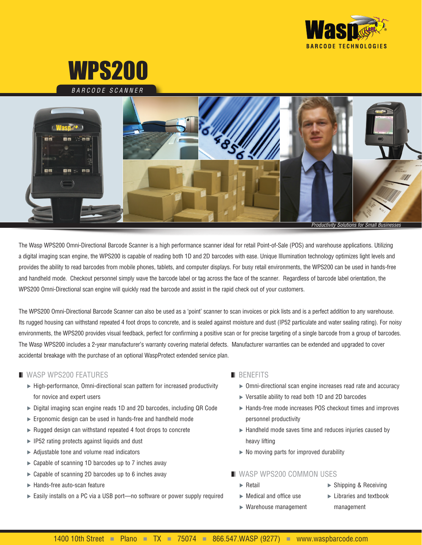



*BARCODE SCANNER*



The Wasp WPS200 Omni-Directional Barcode Scanner is a high performance scanner ideal for retail Point-of-Sale (POS) and warehouse applications. Utilizing a digital imaging scan engine, the WPS200 is capable of reading both 1D and 2D barcodes with ease. Unique Illumination technology optimizes light levels and provides the ability to read barcodes from mobile phones, tablets, and computer displays. For busy retail environments, the WPS200 can be used in hands-free and handheld mode. Checkout personnel simply wave the barcode label or tag across the face of the scanner. Regardless of barcode label orientation, the WPS200 Omni-Directional scan engine will quickly read the barcode and assist in the rapid check out of your customers.

The WPS200 Omni-Directional Barcode Scanner can also be used as a 'point' scanner to scan invoices or pick lists and is a perfect addition to any warehouse. Its rugged housing can withstand repeated 4 foot drops to concrete, and is sealed against moisture and dust (IP52 particulate and water sealing rating). For noisy environments, the WPS200 provides visual feedback, perfect for confirming a positive scan or for precise targeting of a single barcode from a group of barcodes. The Wasp WPS200 includes a 2-year manufacturer's warranty covering material defects. Manufacturer warranties can be extended and upgraded to cover accidental breakage with the purchase of an optional WaspProtect extended service plan.

## **N** WASP WPS200 FEATURES

- High-performance, Omni-directional scan pattern for increased productivity for novice and expert users
- Digital imaging scan engine reads 1D and 2D barcodes, including QR Code
- Ergonomic design can be used in hands-free and handheld mode
- $\blacktriangleright$  Rugged design can withstand repeated 4 foot drops to concrete
- $\blacktriangleright$  IP52 rating protects against liquids and dust
- $\blacktriangleright$  Adjustable tone and volume read indicators
- ► Capable of scanning 1D barcodes up to 7 inches away
- $\triangleright$  Capable of scanning 2D barcodes up to 6 inches away
- $\blacktriangleright$  Hands-free auto-scan feature
- ► Easily installs on a PC via a USB port—no software or power supply required

## $\blacksquare$  BENEFITS

- Omni-directional scan engine increases read rate and accuracy
- ▶ Versatile ability to read both 1D and 2D barcodes
- Hands-free mode increases POS checkout times and improves personnel productivity
- $\blacktriangleright$  Handheld mode saves time and reduces injuries caused by heavy lifting
- $\triangleright$  No moving parts for improved durability

## **N** WASP WPS200 COMMON USES

- $\blacktriangleright$  Retail
- $\blacktriangleright$  Medical and office use
- ▶ Shipping & Receiving
- 
- Warehouse management
- **Libraries and textbook** management